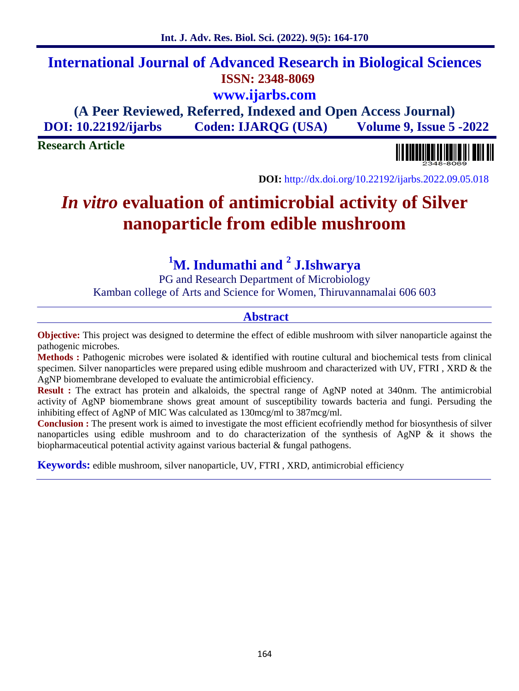# **International Journal of Advanced Research in Biological Sciences ISSN: 2348-8069 www.ijarbs.com**

# **(A Peer Reviewed, Referred, Indexed and Open Access Journal) DOI: 10.22192/ijarbs Coden: IJARQG (USA) Volume 9, Issue 5 -2022**

**Research Article**

**DOI:** http://dx.doi.org/10.22192/ijarbs.2022.09.05.018

# *In vitro* **evaluation of antimicrobial activity of Silver nanoparticle from edible mushroom**

**<sup>1</sup>M. Indumathi and <sup>2</sup> J.Ishwarya**

PG and Research Department of Microbiology Kamban college of Arts and Science for Women, Thiruvannamalai 606 603

### **Abstract**

**Objective:** This project was designed to determine the effect of edible mushroom with silver nanoparticle against the pathogenic microbes.

**Methods :** Pathogenic microbes were isolated & identified with routine cultural and biochemical tests from clinical specimen. Silver nanoparticles were prepared using edible mushroom and characterized with UV, FTRI, XRD & the AgNP biomembrane developed to evaluate the antimicrobial efficiency.

**Result :** The extract has protein and alkaloids, the spectral range of AgNP noted at 340nm. The antimicrobial activity of AgNP biomembrane shows great amount of susceptibility towards bacteria and fungi. Persuding the inhibiting effect of AgNP of MIC Wascalculated as 130mcg/ml to 387mcg/ml.

**Conclusion :** The present work is aimed to investigate the most efficient ecofriendly method for biosynthesis of silver nanoparticles using edible mushroom and to do characterization of the synthesis of AgNP  $\&$  it shows the biopharmaceutical potential activity against various bacterial & fungal pathogens.

**Keywords:** edible mushroom, silver nanoparticle, UV, FTRI , XRD, antimicrobial efficiency

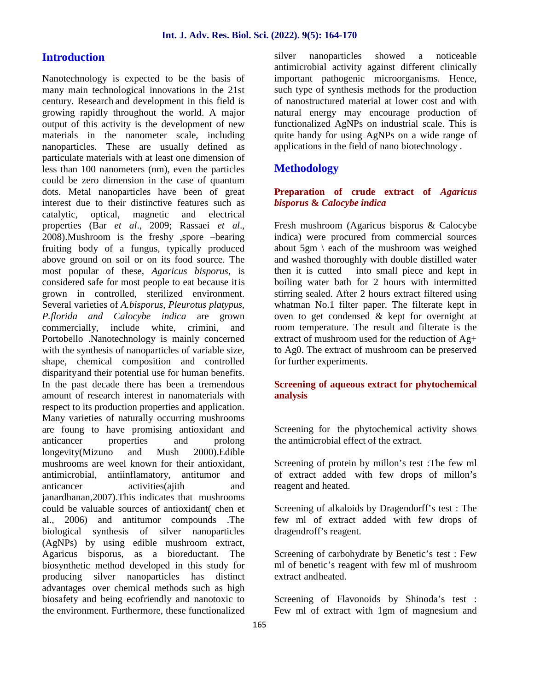#### **Introduction**

Nanotechnology is expected to be the basis of many main technological innovations in the 21st century. Research and development in this field is growing rapidly throughout the world. A major output of this activity is the development of new materials in the nanometer scale, including nanoparticles. These are usually defined as particulate materials with at least one dimension of less than 100 nanometers (nm), even the particles could be zero dimension in the case of quantum dots. Metal nanoparticles have been of great interest due to their distinctive features such as catalytic, optical, magnetic and electrical properties (Bar *et al*., 2009; Rassaei *et al*., 2008).Mushroom is the freshy ,spore –bearing fruiting body of a fungus, typically produced above ground on soil or on its food source. The most popular of these, *Agaricus bisporus*, is considered safe for most people to eat because itis grown in controlled, sterilized environment. Several varieties of *A.bisporus, Pleurotus platypus, P.florida and Calocybe indica* are grown commercially, include white, crimini, and Portobello .Nanotechnology is mainly concerned with the synthesis of nanoparticles of variable size, shape, chemical composition and controlled disparityand their potential use for human benefits. In the past decade there has been a tremendous amount of research interest in nanomaterials with respect to its production properties and application. Many varieties of naturally occurring mushrooms are foung to have promising antioxidant and anticancer properties and prolong longevity(Mizuno and Mush 2000).Edible mushrooms are weel known for their antioxidant, antimicrobial, antiinflamatory, antitumor and anticancer activities(ajith and janardhanan,2007).This indicates that mushrooms could be valuable sources of antioxidant( chen et al., 2006) and antitumor compounds .The biological synthesis of silver nanoparticles (AgNPs) by using edible mushroom extract, Agaricus bisporus, as a bioreductant. The biosynthetic method developed in this study for producing silver nanoparticles has distinct advantages over chemical methods such as high biosafety and being ecofriendly and nanotoxic to the environment. Furthermore, these functionalized

silver nanoparticles showed a noticeable antimicrobial activity against different clinically important pathogenic microorganisms. Hence, such type of synthesis methods for the production of nanostructured material at lower cost and with natural energy may encourage production of functionalized AgNPs on industrial scale. This is quite handy for using AgNPs on a wide range of applications in the field of nano biotechnology .

#### **Methodology**

#### Preparation of crude extract of *Agaricus bisporus* **&** *Calocybe indica*

Fresh mushroom (Agaricus bisporus & Calocybe indica) were procured from commercial sources about  $5gm \setminus each$  of the mushroom was weighed and washed thoroughly with double distilled water into small piece and kept in boiling water bath for 2 hours with intermitted stirring sealed. After 2 hours extract filtered using whatman No.1 filter paper. The filterate kept in oven to get condensed & kept for overnight at room temperature. The result and filterate is the extract of mushroom used for the reduction of Ag+ to Ag0. The extract of mushroom can be preserved for further experiments.

#### **Screening of aqueous extract for phytochemical analysis**

Screening for the phytochemical activity shows the antimicrobial effect of the extract.

Screening of protein by millon's test :The few ml of extract added with few drops of millon's reagent and heated.

Screening of alkaloids by Dragendorff's test : The few ml of extract added with few drops of dragendroff's reagent.

Screening of carbohydrate by Benetic's test : Few ml of benetic's reagent with few ml of mushroom extract andheated.

Screening of Flavonoids by Shinoda's test : Few ml of extract with 1gm of magnesium and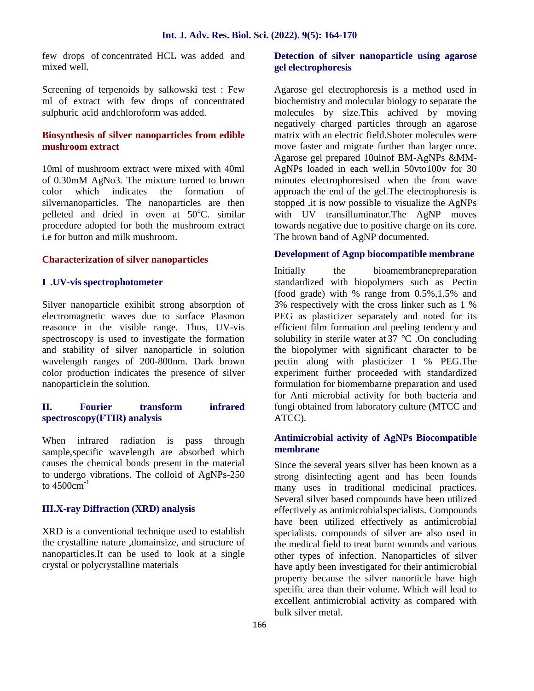few drops of concentrated HCL was added and mixed well.

Screening of terpenoids by salkowski test : Few ml of extract with few drops of concentrated sulphuric acid andchloroform was added.

#### **Biosynthesis of silver nanoparticles from edible mushroom extract**

10ml of mushroom extract were mixed with 40ml of 0.30mM AgNo3. The mixture turned to brown color which indicates the formation of silvernanoparticles. The nanoparticles are then pelleted and dried in oven at  $50^{\circ}$ C. similar procedure adopted for both the mushroom extract i.e for button and milk mushroom.

#### **Characterization of silver nanoparticles**

#### **I .UV-vis spectrophotometer**

Silver nanoparticle exihibit strong absorption of electromagnetic waves due to surface Plasmon reasonce in the visible range. Thus, UV-vis spectroscopy is used to investigate the formation and stability of silver nanoparticle in solution wavelength ranges of 200-800nm. Dark brown color production indicates the presence of silver nanoparticlein the solution.

#### **II. Fourier transform infrared spectroscopy(FTIR) analysis**

When infrared radiation is pass through sample,specific wavelength are absorbed which causes the chemical bonds present in the material to undergo vibrations. The colloid of  $AgNPs-250$ to  $4500 \text{cm}^{-1}$ 

#### **III.X-ray Diffraction (XRD) analysis**

XRD is a conventional technique used to establish the crystalline nature ,domainsize, and structure of nanoparticles.It can be used to look at a single crystal or polycrystalline materials

#### **Detection of silver nanoparticle using agarose gel electrophoresis**

Agarose gel electrophoresis is a method used in biochemistry and molecular biology to separate the molecules by size.This achived by moving negatively charged particles through an agarose matrix with an electric field.Shoter molecules were move faster and migrate further than larger once. Agarose gel prepared 10ulnof BM-AgNPs &MM- AgNPs loaded in each well,in 50vto100v for 30 minutes electrophoresised when the front wave approach the end of the gel.The electrophoresis is stopped ,it is now possible to visualize the AgNPs with UV transilluminator.The AgNP moves towards negative due to positive charge on its core. The brown band of AgNP documented.

#### **Development of Agnp biocompatible membrane**

Initially the bioamembranepreparation standardized with biopolymers such as Pectin (food grade) with % range from 0.5%,1.5% and 3% respectively with the cross linker such as 1 % PEG as plasticizer separately and noted for its efficient film formation and peeling tendency and solubility in sterile water at 37 °C .On concluding the biopolymer with significant character to be pectin along with plasticizer 1 % PEG.The experiment further proceeded with standardized formulation for biomembarne preparation and used for Anti microbial activity for both bacteria and fungi obtained from laboratory culture (MTCC and ATCC).

#### **Antimicrobial activity of AgNPs Biocompatible membrane**

Since the several years silver has been known as a strong disinfecting agent and has been founds many uses in traditional medicinal practices. Several silver based compounds have been utilized effectively as antimicrobialspecialists. Compounds have been utilized effectively as antimicrobial specialists. compounds of silver are also used in the medical field to treat burnt wounds and various other types of infection. Nanoparticles of silver have aptly been investigated for their antimicrobial property because the silver nanorticle have high specific area than their volume. Which will lead to excellent antimicrobial activity as compared with bulk silver metal.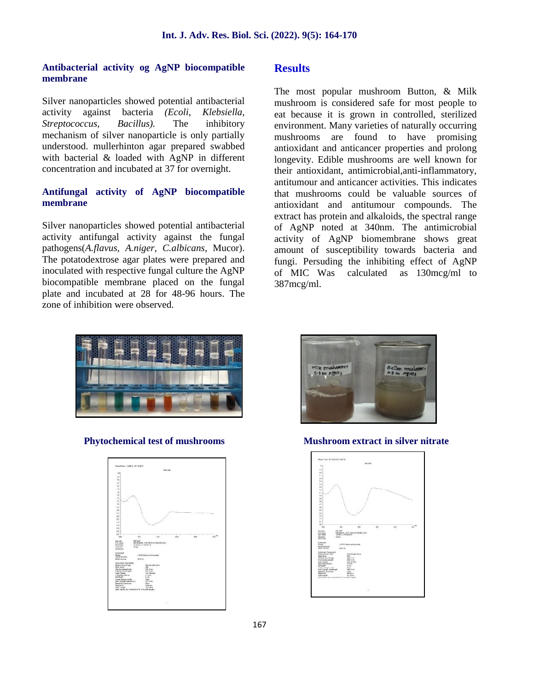#### **Antibacterial activity og AgNP biocompatible membrane**

Silver nanoparticles showed potential antibacterial activity against bacteria *(Ecoli, Klebsiella, Streptococcus, Bacillus).* The inhibitory mechanism of silver nanoparticle is only partially understood. mullerhinton agar prepared swabbed with bacterial & loaded with AgNP in different concentration and incubated at 37 for overnight.

#### **Antifungal activity of AgNP biocompatible membrane**

Silver nanoparticles showed potential antibacterial activity antifungal activity against the fungal pathogens(*A.flavus, A.niger, C.albicans*, Mucor). The potatodextrose agar plates were prepared and inoculated with respective fungal culture the AgNP of MIC Was biocompatible membrane placed on the fungal plate and incubated at 28 for 48-96 hours. The zone of inhibition were observed.

### **Results**

The most popular mushroom Button, & Milk mushroom is considered safe for most people to eat because it is grown in controlled, sterilized environment. Many varieties of naturally occurring mushrooms are found to have promising antioxidant and anticancer properties and prolong longevity. Edible mushrooms are well known for their antioxidant, antimicrobial,anti-inflammatory, antitumour and anticancer activities. This indicates that mushrooms could be valuable sources of antioxidant and antitumour compounds. The extract has protein and alkaloids, the spectral range of AgNP noted at 340nm. The antimicrobial activity of AgNP biomembrane shows great amount of susceptibility towards bacteria and fungi. Persuding the inhibiting effect of AgNP calculated as  $130$ mcg/ml to 387mcg/ml.







**Phytochemical test of mushrooms Mushroom extract in silver nitrate**

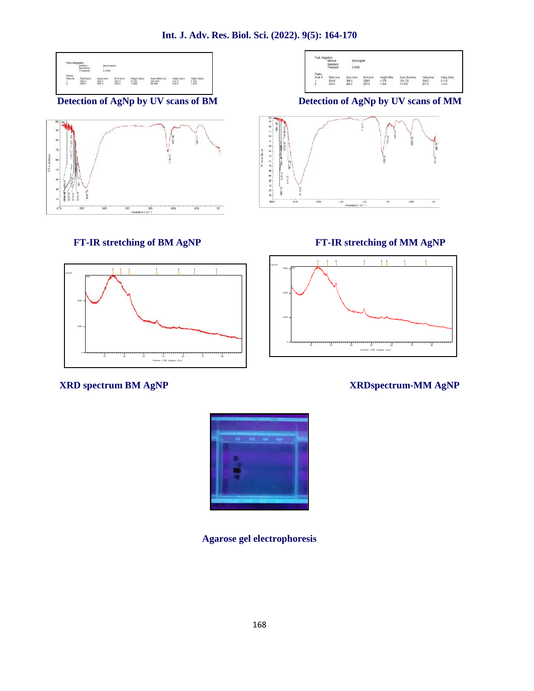**Int. J. Adv. Res. Biol. Sci. (2022). 9(5): 164-170**









**Detection of AgNp by UV scans of BM Detection of AgNp by UV scans of MM**



### **FT-IR stretching of BM AgNP FT-IR stretching of MM AgNP**



### **XRD spectrum BM AgNP XRDspectrum-MM AgNP**



**Agarose gel electrophoresis**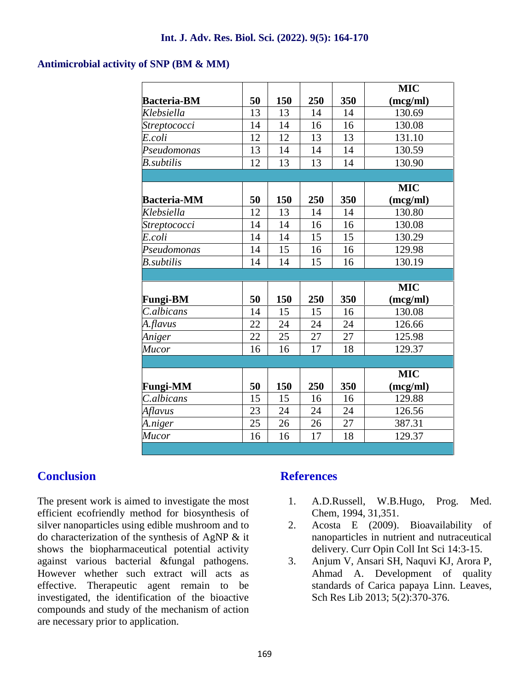#### **Antimicrobial activity of SNP (BM & MM)**

|                    |    |     |     |     | <b>MIC</b> |
|--------------------|----|-----|-----|-----|------------|
| <b>Bacteria-BM</b> | 50 | 150 | 250 | 350 | (mcg/ml)   |
| Klebsiella         | 13 | 13  | 14  | 14  | 130.69     |
| Streptococci       | 14 | 14  | 16  | 16  | 130.08     |
| E.coli             | 12 | 12  | 13  | 13  | 131.10     |
| Pseudomonas        | 13 | 14  | 14  | 14  | 130.59     |
| <b>B</b> .subtilis | 12 | 13  | 13  | 14  | 130.90     |
|                    |    |     |     |     |            |
|                    |    |     |     |     | <b>MIC</b> |
| <b>Bacteria-MM</b> | 50 | 150 | 250 | 350 | (mcg/ml)   |
| Klebsiella         | 12 | 13  | 14  | 14  | 130.80     |
| Streptococci       | 14 | 14  | 16  | 16  | 130.08     |
| E.coli             | 14 | 14  | 15  | 15  | 130.29     |
| Pseudomonas        | 14 | 15  | 16  | 16  | 129.98     |
| <b>B</b> .subtilis | 14 | 14  | 15  | 16  | 130.19     |
|                    |    |     |     |     |            |
|                    |    |     |     |     | <b>MIC</b> |
| <b>Fungi-BM</b>    | 50 | 150 | 250 | 350 | (mcg/ml)   |
| C.albicans         | 14 | 15  | 15  | 16  | 130.08     |
| A.flavus           | 22 | 24  | 24  | 24  | 126.66     |
| Aniger             | 22 | 25  | 27  | 27  | 125.98     |
| <b>Mucor</b>       | 16 | 16  | 17  | 18  | 129.37     |
|                    |    |     |     |     |            |
|                    |    |     |     |     | <b>MIC</b> |
| <b>Fungi-MM</b>    | 50 | 150 | 250 | 350 | (mcg/ml)   |
| C.albicans         | 15 | 15  | 16  | 16  | 129.88     |
| Aflavus            | 23 | 24  | 24  | 24  | 126.56     |
| A.niger            | 25 | 26  | 26  | 27  | 387.31     |
| <b>Mucor</b>       | 16 | 16  | 17  | 18  | 129.37     |

## **Conclusion**

The present work is aimed to investigate the most efficient ecofriendly method for biosynthesis of silver nanoparticles using edible mushroom and to 2. do characterization of the synthesis of AgNP & it shows the biopharmaceutical potential activity against various bacterial &fungal pathogens. However whether such extract will acts as effective. Therapeutic agent remain to be investigated, the identification of the bioactive compounds and study of the mechanism of action are necessary prior to application.

## **References**

- 1. A.D.Russell, W.B.Hugo, Prog. Med. Chem, 1994, 31,351.
- 2. Acosta E (2009). Bioavailability of nanoparticles in nutrient and nutraceutical delivery. Curr Opin Coll Int Sci 14:3-15.
- 3. Anjum V, Ansari SH, Naquvi KJ, Arora P, Ahmad A. Development of quality standards of Carica papaya Linn. Leaves, Sch Res Lib 2013; 5(2):370-376.